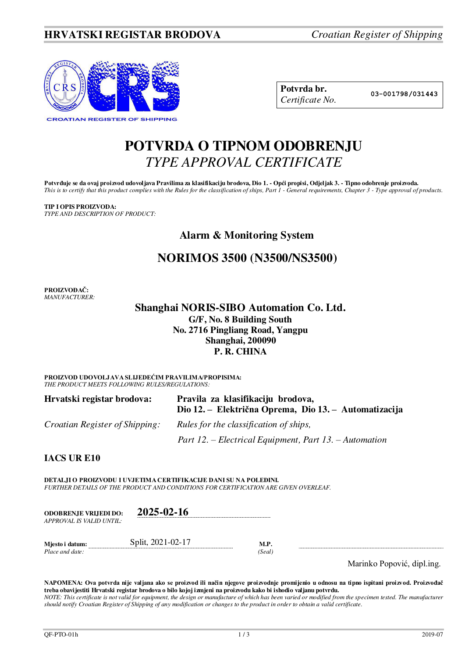## **HRVATSKI REGISTAR BRODOVA** *Croatian Register of Shipping*



**Potvrda br. 03-001798/031443** *Certificate No.* 

# **POTVRDA O TIPNOM ODOBRENJU**  *TYPE APPROVAL CERTIFICATE*

**Potvrđuje se da ovaj proizvod udovoljava Pravilima za klasifikaciju brodova, Dio 1. - Opći propisi, Odjeljak 3. - Tipno odobrenje proizvoda.**  *This is to certify that this product complies with the Rules for the classification of ships, Part 1 - General requirements, Chapter 3 - Type approval of products.* 

**TIP I OPIS PROIZVODA:** *TYPE AND DESCRIPTION OF PRODUCT:* 

## **Alarm & Monitoring System**

## **NORIMOS 3500 (N3500/NS3500)**

**PROIZVOĐAČ:** *MANUFACTURER:*

> **Shanghai NORIS-SIBO Automation Co. Ltd. G/F, No. 8 Building South No. 2716 Pingliang Road, Yangpu**

## **Shanghai, 200090**

### **P. R. CHINA**

**PROIZVOD UDOVOLJAVA SLIJEDEĆIM PRAVILIMA/PROPISIMA:** *THE PRODUCT MEETS FOLLOWING RULES/REGULATIONS:* 

| Hrvatski registar brodova:            | Pravila za klasifikaciju brodova,<br>Dio 12. – Električna Oprema, Dio 13. – Automatizacija |  |  |
|---------------------------------------|--------------------------------------------------------------------------------------------|--|--|
| <i>Croatian Register of Shipping:</i> | Rules for the classification of ships,                                                     |  |  |
|                                       | Part 12. – Electrical Equipment, Part 13. – Automation                                     |  |  |

### **IACS UR E10**

**DETALJI O PROIZVODU I UVJETIMA CERTIFIKACIJE DANI SU NA POLEĐINI.** *FURTHER DETAILS OF THE PRODUCT AND CONDITIONS FOR CERTIFICATION ARE GIVEN OVERLEAF.* 

| <b>ODOBRENJE VRLJEDI DO:</b><br>APPROVAL IS VALID UNTIL: | $2025 - 02 - 16$  |                |  |
|----------------------------------------------------------|-------------------|----------------|--|
| Mjesto i datum:<br>Place and date:                       | Split, 2021-02-17 | M.P.<br>(Seal) |  |

Marinko Popović, dipl.ing.

**NAPOMENA: Ova potvrda nije valjana ako se proizvod ili način njegove proizvodnje promijenio u odnosu na tipno ispitani proizvod. Proizvođač treba obavijestiti Hrvatski registar brodova o bilo kojoj izmjeni na proizvodu kako bi ishodio valjanu potvrdu.**  *NOTE: This certificate is not valid for equipment, the design or manufacture of which has been varied or modified from the specimen tested. The manufacturer should notify Croatian Register of Shipping of any modification or changes to the product in order to obtain a valid certificate.*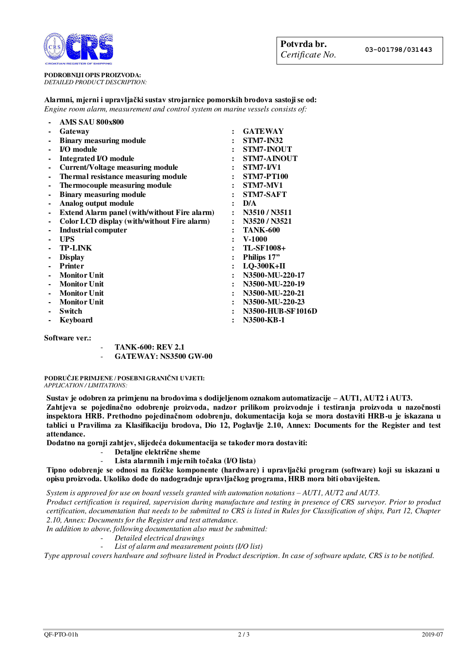

**PODROBNIJI OPIS PROIZVODA:** *DETAILED PRODUCT DESCRIPTION:* 

### **Alarmni, mjerni i upravljački sustav strojarnice pomorskih brodova sastoji se od:**  *Engine room alarm, measurement and control system on marine vessels consists of:*

| <b>AMS SAU 800x800</b>                       |                      |                          |
|----------------------------------------------|----------------------|--------------------------|
| Gateway                                      | $\ddot{\phantom{a}}$ | <b>GATEWAY</b>           |
| <b>Binary measuring module</b>               | $\ddot{\cdot}$       | <b>STM7-IN32</b>         |
| <b>I/O</b> module                            |                      | <b>STM7-INOUT</b>        |
| <b>Integrated I/O module</b>                 | $\ddot{\phantom{a}}$ | <b>STM7-AINOUT</b>       |
| <b>Current/Voltage measuring module</b>      | $\ddot{\cdot}$       | STM7-I/V1                |
| Thermal resistance measuring module          |                      | <b>STM7-PT100</b>        |
| The rmocouple measuring module               | $\ddot{\cdot}$       | STM7-MV1                 |
| <b>Binary measuring module</b>               | $\ddot{\phantom{a}}$ | STM7-SAFT                |
| Analog output module                         | $\ddot{\phantom{a}}$ | D/A                      |
| Extend Alarm panel (with/without Fire alarm) | $\ddot{\phantom{a}}$ | N3510 / N3511            |
| Color LCD display (with/without Fire alarm)  | $\ddot{\phantom{a}}$ | N3520 / N3521            |
| <b>Industrial computer</b>                   |                      | <b>TANK-600</b>          |
| <b>UPS</b>                                   | $\ddot{\phantom{a}}$ | $V-1000$                 |
| <b>TP-LINK</b>                               | $\ddot{\cdot}$       | <b>TL-SF1008+</b>        |
| <b>Display</b>                               | $\ddot{\phantom{a}}$ | Philips 17"              |
| <b>Printer</b>                               | $\ddot{\cdot}$       | LQ-300K+II               |
| <b>Monitor Unit</b>                          | $\ddot{\cdot}$       | N3500-MU-220-17          |
| <b>Monitor Unit</b>                          | $\ddot{\phantom{a}}$ | N3500-MU-220-19          |
| <b>Monitor Unit</b>                          | $\ddot{\cdot}$       | N3500-MU-220-21          |
| <b>Monitor Unit</b>                          |                      | N3500-MU-220-23          |
| Switch                                       |                      | <b>N3500-HUB-SF1016D</b> |
| Keyboard                                     | $\ddot{\phantom{a}}$ | N3500-KB-1               |
|                                              |                      |                          |

### **Software ver.:**

- **TANK-600: REV 2.1**  - **GATEWAY: NS3500 GW-00**

### **PODRUČJE PRIMJENE / POSEBNI GRANIČNI UVJETI:** *APPLICATION / LIMITATIONS:*

**Sustav je odobren za primjenu na brodovima s dodijeljenom oznakom automatizacije – AUT1, AUT2 i AUT3.** 

**Zahtjeva se pojedinačno odobrenje proizvoda, nadzor prilikom proizvodnje i testiranja proizvoda u nazočnosti inspektora HRB. Prethodno pojedinačnom odobrenju, dokumentacija koja se mora dostaviti HRB-u je iskazana u tablici u Pravilima za Klasifikaciju brodova, Dio 12, Poglavlje 2.10, Annex: Documents for the Register and test attendance.** 

**Dodatno na gornji zahtjev, slijedeća dokumentacija se također mora dostaviti:** 

- **Detaljne električne sheme**
- **Lista alarmnih i mjernih točaka (I/O lista)**

**Tipno odobrenje se odnosi na fizičke komponente (hardware) i upravljački program (software) koji su iskazani u opisu proizvoda. Ukoliko dođe do nadogradnje upravljačkog programa, HRB mora biti obaviješten.** 

*System is approved for use on board vessels granted with automation notations – AUT1, AUT2 and AUT3.* 

*Product certification is required, supervision during manufacture and testing in presence of CRS surveyor. Prior to product certification, documentation that needs to be submitted to CRS is listed in Rules for Classification of ships, Part 12, Chapter 2.10, Annex: Documents for the Register and test attendance.* 

*In addition to above, following documentation also must be submitted:* 

- *Detailed electrical drawings*
- List of alarm and measurement points (I/O list)

*Type approval covers hardware and software listed in Product description. In case of software update, CRS is to be notified.*